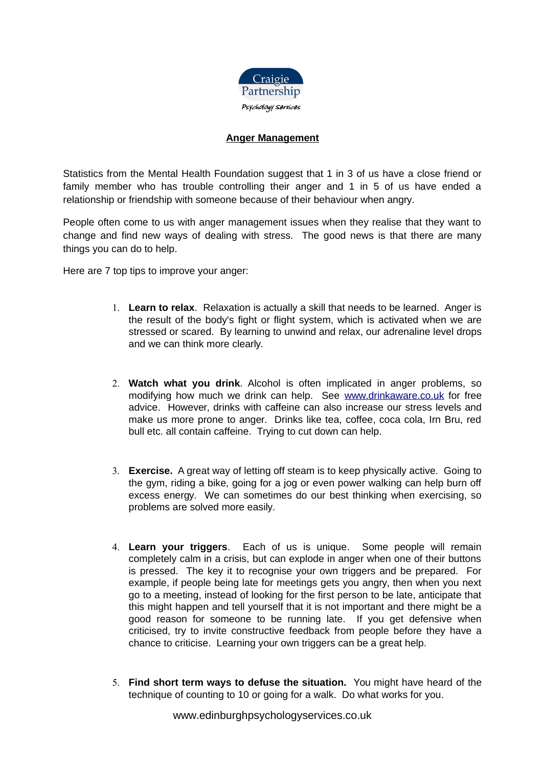

## **Anger Management**

Statistics from the Mental Health Foundation suggest that 1 in 3 of us have a close friend or family member who has trouble controlling their anger and 1 in 5 of us have ended a relationship or friendship with someone because of their behaviour when angry.

People often come to us with anger management issues when they realise that they want to change and find new ways of dealing with stress. The good news is that there are many things you can do to help.

Here are 7 top tips to improve your anger:

- 1. **Learn to relax**. Relaxation is actually a skill that needs to be learned. Anger is the result of the body's fight or flight system, which is activated when we are stressed or scared. By learning to unwind and relax, our adrenaline level drops and we can think more clearly.
- 2. **Watch what you drink**. Alcohol is often implicated in anger problems, so modifying how much we drink can help. See [www.drinkaware.co.uk](http://www.drinkaware.co.uk/) for free advice. However, drinks with caffeine can also increase our stress levels and make us more prone to anger. Drinks like tea, coffee, coca cola, Irn Bru, red bull etc. all contain caffeine. Trying to cut down can help.
- 3. **Exercise.** A great way of letting off steam is to keep physically active. Going to the gym, riding a bike, going for a jog or even power walking can help burn off excess energy. We can sometimes do our best thinking when exercising, so problems are solved more easily.
- 4. **Learn your triggers**. Each of us is unique. Some people will remain completely calm in a crisis, but can explode in anger when one of their buttons is pressed. The key it to recognise your own triggers and be prepared. For example, if people being late for meetings gets you angry, then when you next go to a meeting, instead of looking for the first person to be late, anticipate that this might happen and tell yourself that it is not important and there might be a good reason for someone to be running late. If you get defensive when criticised, try to invite constructive feedback from people before they have a chance to criticise. Learning your own triggers can be a great help.
- 5. **Find short term ways to defuse the situation.** You might have heard of the technique of counting to 10 or going for a walk. Do what works for you.

www.edinburghpsychologyservices.co.uk